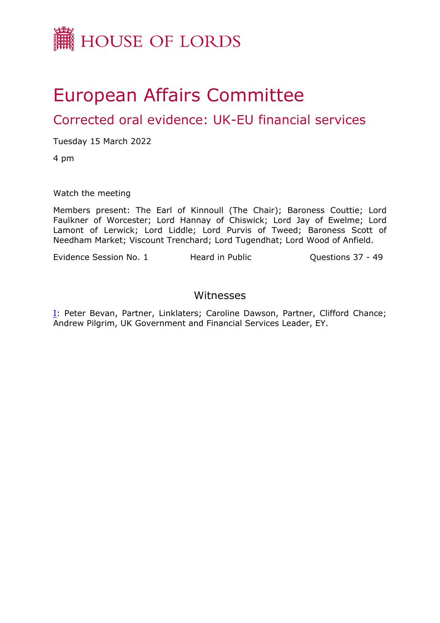

## European Affairs Committee

Corrected oral evidence: UK-EU financial services

Tuesday 15 March 2022

4 pm

Watch the meeting

Members present: The Earl of Kinnoull (The Chair); Baroness Couttie; Lord Faulkner of Worcester; Lord Hannay of Chiswick; Lord Jay of Ewelme; Lord Lamont of Lerwick; Lord Liddle; Lord Purvis of Tweed; Baroness Scott of Needham Market; Viscount Trenchard; Lord Tugendhat; Lord Wood of Anfield.

Evidence Session No. 1 Theard in Public Connections 37 - 49

## Witnesses

[I:](#page-1-0) Peter Bevan, Partner, Linklaters; Caroline Dawson, Partner, Clifford Chance; Andrew Pilgrim, UK Government and Financial Services Leader, EY.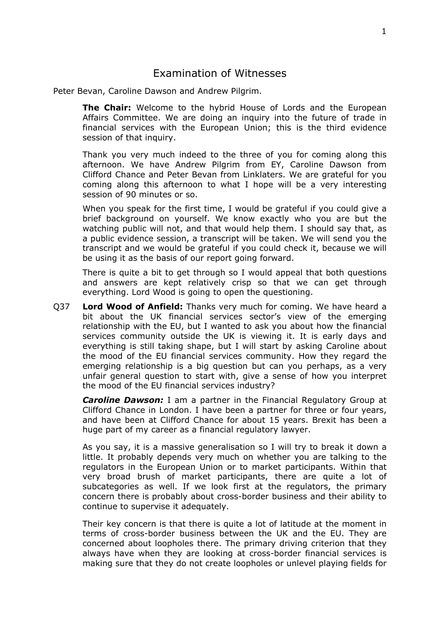## <span id="page-1-0"></span>Examination of Witnesses

Peter Bevan, Caroline Dawson and Andrew Pilgrim.

**The Chair:** Welcome to the hybrid House of Lords and the European Affairs Committee. We are doing an inquiry into the future of trade in financial services with the European Union; this is the third evidence session of that inquiry.

Thank you very much indeed to the three of you for coming along this afternoon. We have Andrew Pilgrim from EY, Caroline Dawson from Clifford Chance and Peter Bevan from Linklaters. We are grateful for you coming along this afternoon to what I hope will be a very interesting session of 90 minutes or so.

When you speak for the first time, I would be grateful if you could give a brief background on yourself. We know exactly who you are but the watching public will not, and that would help them. I should say that, as a public evidence session, a transcript will be taken. We will send you the transcript and we would be grateful if you could check it, because we will be using it as the basis of our report going forward.

There is quite a bit to get through so I would appeal that both questions and answers are kept relatively crisp so that we can get through everything. Lord Wood is going to open the questioning.

Q37 **Lord Wood of Anfield:** Thanks very much for coming. We have heard a bit about the UK financial services sector's view of the emerging relationship with the EU, but I wanted to ask you about how the financial services community outside the UK is viewing it. It is early days and everything is still taking shape, but I will start by asking Caroline about the mood of the EU financial services community. How they regard the emerging relationship is a big question but can you perhaps, as a very unfair general question to start with, give a sense of how you interpret the mood of the EU financial services industry?

*Caroline Dawson:* I am a partner in the Financial Regulatory Group at Clifford Chance in London. I have been a partner for three or four years, and have been at Clifford Chance for about 15 years. Brexit has been a huge part of my career as a financial regulatory lawyer.

As you say, it is a massive generalisation so I will try to break it down a little. It probably depends very much on whether you are talking to the regulators in the European Union or to market participants. Within that very broad brush of market participants, there are quite a lot of subcategories as well. If we look first at the regulators, the primary concern there is probably about cross-border business and their ability to continue to supervise it adequately.

Their key concern is that there is quite a lot of latitude at the moment in terms of cross-border business between the UK and the EU. They are concerned about loopholes there. The primary driving criterion that they always have when they are looking at cross-border financial services is making sure that they do not create loopholes or unlevel playing fields for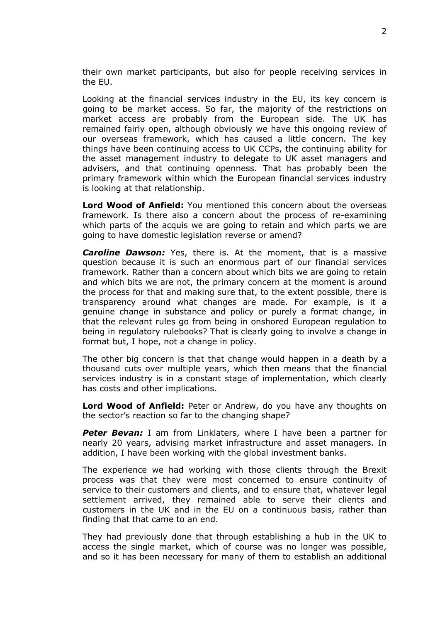their own market participants, but also for people receiving services in the EU.

Looking at the financial services industry in the EU, its key concern is going to be market access. So far, the majority of the restrictions on market access are probably from the European side. The UK has remained fairly open, although obviously we have this ongoing review of our overseas framework, which has caused a little concern. The key things have been continuing access to UK CCPs, the continuing ability for the asset management industry to delegate to UK asset managers and advisers, and that continuing openness. That has probably been the primary framework within which the European financial services industry is looking at that relationship.

**Lord Wood of Anfield:** You mentioned this concern about the overseas framework. Is there also a concern about the process of re-examining which parts of the acquis we are going to retain and which parts we are going to have domestic legislation reverse or amend?

*Caroline Dawson:* Yes, there is. At the moment, that is a massive question because it is such an enormous part of our financial services framework. Rather than a concern about which bits we are going to retain and which bits we are not, the primary concern at the moment is around the process for that and making sure that, to the extent possible, there is transparency around what changes are made. For example, is it a genuine change in substance and policy or purely a format change, in that the relevant rules go from being in onshored European regulation to being in regulatory rulebooks? That is clearly going to involve a change in format but, I hope, not a change in policy.

The other big concern is that that change would happen in a death by a thousand cuts over multiple years, which then means that the financial services industry is in a constant stage of implementation, which clearly has costs and other implications.

**Lord Wood of Anfield:** Peter or Andrew, do you have any thoughts on the sector's reaction so far to the changing shape?

**Peter Bevan:** I am from Linklaters, where I have been a partner for nearly 20 years, advising market infrastructure and asset managers. In addition, I have been working with the global investment banks.

The experience we had working with those clients through the Brexit process was that they were most concerned to ensure continuity of service to their customers and clients, and to ensure that, whatever legal settlement arrived, they remained able to serve their clients and customers in the UK and in the EU on a continuous basis, rather than finding that that came to an end.

They had previously done that through establishing a hub in the UK to access the single market, which of course was no longer was possible, and so it has been necessary for many of them to establish an additional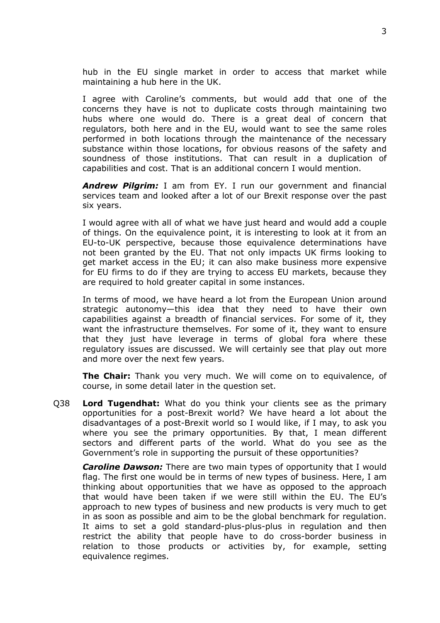hub in the EU single market in order to access that market while maintaining a hub here in the UK.

I agree with Caroline's comments, but would add that one of the concerns they have is not to duplicate costs through maintaining two hubs where one would do. There is a great deal of concern that regulators, both here and in the EU, would want to see the same roles performed in both locations through the maintenance of the necessary substance within those locations, for obvious reasons of the safety and soundness of those institutions. That can result in a duplication of capabilities and cost. That is an additional concern I would mention.

*Andrew Pilgrim:* I am from EY. I run our government and financial services team and looked after a lot of our Brexit response over the past six years.

I would agree with all of what we have just heard and would add a couple of things. On the equivalence point, it is interesting to look at it from an EU-to-UK perspective, because those equivalence determinations have not been granted by the EU. That not only impacts UK firms looking to get market access in the EU; it can also make business more expensive for EU firms to do if they are trying to access EU markets, because they are required to hold greater capital in some instances.

In terms of mood, we have heard a lot from the European Union around strategic autonomy—this idea that they need to have their own capabilities against a breadth of financial services. For some of it, they want the infrastructure themselves. For some of it, they want to ensure that they just have leverage in terms of global fora where these regulatory issues are discussed. We will certainly see that play out more and more over the next few years.

**The Chair:** Thank you very much. We will come on to equivalence, of course, in some detail later in the question set.

Q38 **Lord Tugendhat:** What do you think your clients see as the primary opportunities for a post-Brexit world? We have heard a lot about the disadvantages of a post-Brexit world so I would like, if I may, to ask you where you see the primary opportunities. By that, I mean different sectors and different parts of the world. What do you see as the Government's role in supporting the pursuit of these opportunities?

*Caroline Dawson:* There are two main types of opportunity that I would flag. The first one would be in terms of new types of business. Here, I am thinking about opportunities that we have as opposed to the approach that would have been taken if we were still within the EU. The EU's approach to new types of business and new products is very much to get in as soon as possible and aim to be the global benchmark for regulation. It aims to set a gold standard-plus-plus-plus in regulation and then restrict the ability that people have to do cross-border business in relation to those products or activities by, for example, setting equivalence regimes.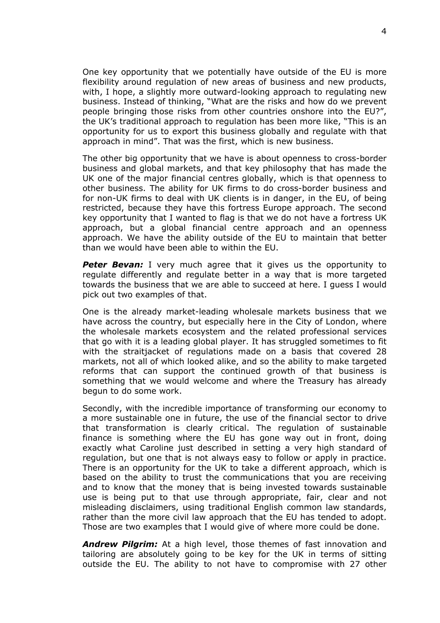One key opportunity that we potentially have outside of the EU is more flexibility around regulation of new areas of business and new products, with, I hope, a slightly more outward-looking approach to regulating new business. Instead of thinking, "What are the risks and how do we prevent people bringing those risks from other countries onshore into the EU?", the UK's traditional approach to regulation has been more like, "This is an opportunity for us to export this business globally and regulate with that approach in mind". That was the first, which is new business.

The other big opportunity that we have is about openness to cross-border business and global markets, and that key philosophy that has made the UK one of the major financial centres globally, which is that openness to other business. The ability for UK firms to do cross-border business and for non-UK firms to deal with UK clients is in danger, in the EU, of being restricted, because they have this fortress Europe approach. The second key opportunity that I wanted to flag is that we do not have a fortress UK approach, but a global financial centre approach and an openness approach. We have the ability outside of the EU to maintain that better than we would have been able to within the EU.

*Peter Bevan:* I very much agree that it gives us the opportunity to regulate differently and regulate better in a way that is more targeted towards the business that we are able to succeed at here. I guess I would pick out two examples of that.

One is the already market-leading wholesale markets business that we have across the country, but especially here in the City of London, where the wholesale markets ecosystem and the related professional services that go with it is a leading global player. It has struggled sometimes to fit with the straitjacket of regulations made on a basis that covered 28 markets, not all of which looked alike, and so the ability to make targeted reforms that can support the continued growth of that business is something that we would welcome and where the Treasury has already begun to do some work.

Secondly, with the incredible importance of transforming our economy to a more sustainable one in future, the use of the financial sector to drive that transformation is clearly critical. The regulation of sustainable finance is something where the EU has gone way out in front, doing exactly what Caroline just described in setting a very high standard of regulation, but one that is not always easy to follow or apply in practice. There is an opportunity for the UK to take a different approach, which is based on the ability to trust the communications that you are receiving and to know that the money that is being invested towards sustainable use is being put to that use through appropriate, fair, clear and not misleading disclaimers, using traditional English common law standards, rather than the more civil law approach that the EU has tended to adopt. Those are two examples that I would give of where more could be done.

*Andrew Pilgrim:* At a high level, those themes of fast innovation and tailoring are absolutely going to be key for the UK in terms of sitting outside the EU. The ability to not have to compromise with 27 other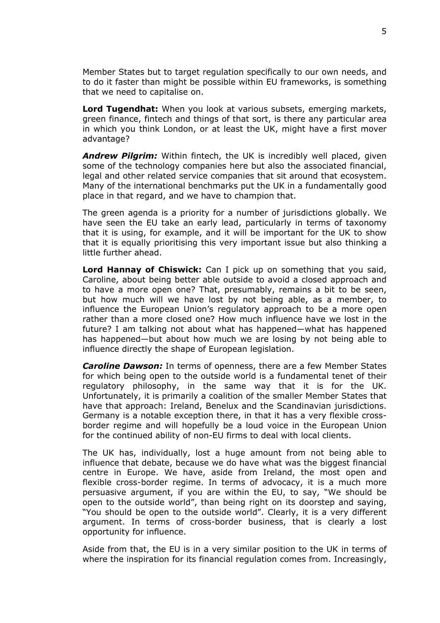Member States but to target regulation specifically to our own needs, and to do it faster than might be possible within EU frameworks, is something that we need to capitalise on.

**Lord Tugendhat:** When you look at various subsets, emerging markets, green finance, fintech and things of that sort, is there any particular area in which you think London, or at least the UK, might have a first mover advantage?

*Andrew Pilgrim:* Within fintech, the UK is incredibly well placed, given some of the technology companies here but also the associated financial, legal and other related service companies that sit around that ecosystem. Many of the international benchmarks put the UK in a fundamentally good place in that regard, and we have to champion that.

The green agenda is a priority for a number of jurisdictions globally. We have seen the EU take an early lead, particularly in terms of taxonomy that it is using, for example, and it will be important for the UK to show that it is equally prioritising this very important issue but also thinking a little further ahead.

**Lord Hannay of Chiswick:** Can I pick up on something that you said, Caroline, about being better able outside to avoid a closed approach and to have a more open one? That, presumably, remains a bit to be seen, but how much will we have lost by not being able, as a member, to influence the European Union's regulatory approach to be a more open rather than a more closed one? How much influence have we lost in the future? I am talking not about what has happened—what has happened has happened—but about how much we are losing by not being able to influence directly the shape of European legislation.

*Caroline Dawson:* In terms of openness, there are a few Member States for which being open to the outside world is a fundamental tenet of their regulatory philosophy, in the same way that it is for the UK. Unfortunately, it is primarily a coalition of the smaller Member States that have that approach: Ireland, Benelux and the Scandinavian jurisdictions. Germany is a notable exception there, in that it has a very flexible crossborder regime and will hopefully be a loud voice in the European Union for the continued ability of non-EU firms to deal with local clients.

The UK has, individually, lost a huge amount from not being able to influence that debate, because we do have what was the biggest financial centre in Europe. We have, aside from Ireland, the most open and flexible cross-border regime. In terms of advocacy, it is a much more persuasive argument, if you are within the EU, to say, "We should be open to the outside world", than being right on its doorstep and saying, "You should be open to the outside world". Clearly, it is a very different argument. In terms of cross-border business, that is clearly a lost opportunity for influence.

Aside from that, the EU is in a very similar position to the UK in terms of where the inspiration for its financial regulation comes from. Increasingly,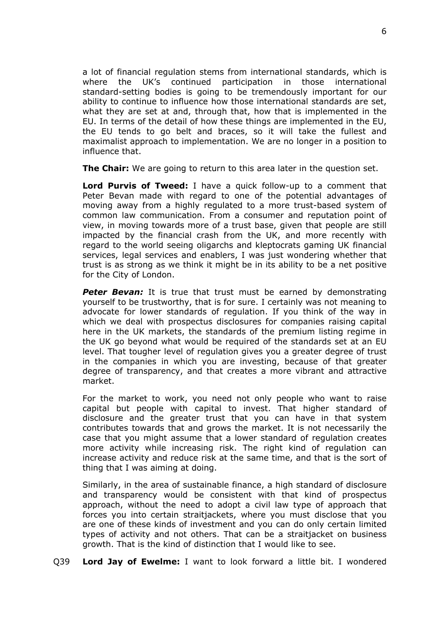a lot of financial regulation stems from international standards, which is where the UK's continued participation in those international standard-setting bodies is going to be tremendously important for our ability to continue to influence how those international standards are set, what they are set at and, through that, how that is implemented in the EU. In terms of the detail of how these things are implemented in the EU, the EU tends to go belt and braces, so it will take the fullest and maximalist approach to implementation. We are no longer in a position to influence that.

**The Chair:** We are going to return to this area later in the question set.

**Lord Purvis of Tweed:** I have a quick follow-up to a comment that Peter Bevan made with regard to one of the potential advantages of moving away from a highly regulated to a more trust-based system of common law communication. From a consumer and reputation point of view, in moving towards more of a trust base, given that people are still impacted by the financial crash from the UK, and more recently with regard to the world seeing oligarchs and kleptocrats gaming UK financial services, legal services and enablers, I was just wondering whether that trust is as strong as we think it might be in its ability to be a net positive for the City of London.

*Peter Bevan:* It is true that trust must be earned by demonstrating yourself to be trustworthy, that is for sure. I certainly was not meaning to advocate for lower standards of regulation. If you think of the way in which we deal with prospectus disclosures for companies raising capital here in the UK markets, the standards of the premium listing regime in the UK go beyond what would be required of the standards set at an EU level. That tougher level of regulation gives you a greater degree of trust in the companies in which you are investing, because of that greater degree of transparency, and that creates a more vibrant and attractive market.

For the market to work, you need not only people who want to raise capital but people with capital to invest. That higher standard of disclosure and the greater trust that you can have in that system contributes towards that and grows the market. It is not necessarily the case that you might assume that a lower standard of regulation creates more activity while increasing risk. The right kind of regulation can increase activity and reduce risk at the same time, and that is the sort of thing that I was aiming at doing.

Similarly, in the area of sustainable finance, a high standard of disclosure and transparency would be consistent with that kind of prospectus approach, without the need to adopt a civil law type of approach that forces you into certain straitjackets, where you must disclose that you are one of these kinds of investment and you can do only certain limited types of activity and not others. That can be a straitjacket on business growth. That is the kind of distinction that I would like to see.

Q39 **Lord Jay of Ewelme:** I want to look forward a little bit. I wondered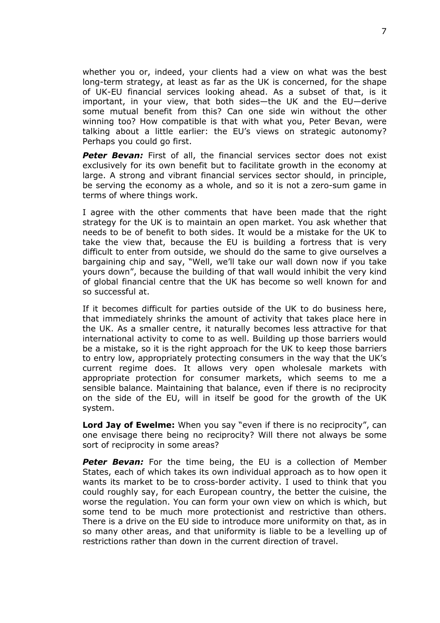whether you or, indeed, your clients had a view on what was the best long-term strategy, at least as far as the UK is concerned, for the shape of UK-EU financial services looking ahead. As a subset of that, is it important, in your view, that both sides—the UK and the EU—derive some mutual benefit from this? Can one side win without the other winning too? How compatible is that with what you, Peter Bevan, were talking about a little earlier: the EU's views on strategic autonomy? Perhaps you could go first.

**Peter Bevan:** First of all, the financial services sector does not exist exclusively for its own benefit but to facilitate growth in the economy at large. A strong and vibrant financial services sector should, in principle, be serving the economy as a whole, and so it is not a zero-sum game in terms of where things work.

I agree with the other comments that have been made that the right strategy for the UK is to maintain an open market. You ask whether that needs to be of benefit to both sides. It would be a mistake for the UK to take the view that, because the EU is building a fortress that is very difficult to enter from outside, we should do the same to give ourselves a bargaining chip and say, "Well, we'll take our wall down now if you take yours down", because the building of that wall would inhibit the very kind of global financial centre that the UK has become so well known for and so successful at.

If it becomes difficult for parties outside of the UK to do business here, that immediately shrinks the amount of activity that takes place here in the UK. As a smaller centre, it naturally becomes less attractive for that international activity to come to as well. Building up those barriers would be a mistake, so it is the right approach for the UK to keep those barriers to entry low, appropriately protecting consumers in the way that the UK's current regime does. It allows very open wholesale markets with appropriate protection for consumer markets, which seems to me a sensible balance. Maintaining that balance, even if there is no reciprocity on the side of the EU, will in itself be good for the growth of the UK system.

**Lord Jay of Ewelme:** When you say "even if there is no reciprocity", can one envisage there being no reciprocity? Will there not always be some sort of reciprocity in some areas?

**Peter Bevan:** For the time being, the EU is a collection of Member States, each of which takes its own individual approach as to how open it wants its market to be to cross-border activity. I used to think that you could roughly say, for each European country, the better the cuisine, the worse the regulation. You can form your own view on which is which, but some tend to be much more protectionist and restrictive than others. There is a drive on the EU side to introduce more uniformity on that, as in so many other areas, and that uniformity is liable to be a levelling up of restrictions rather than down in the current direction of travel.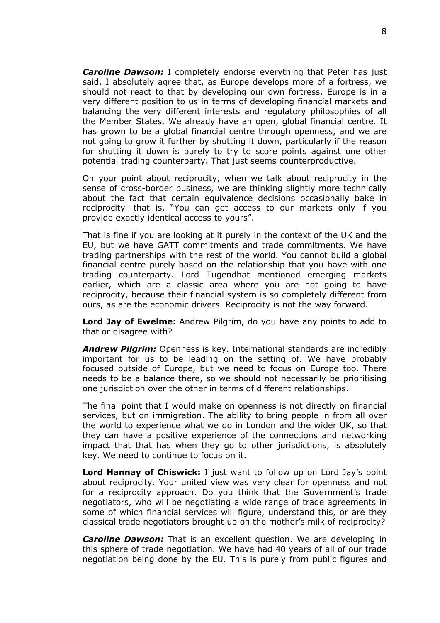*Caroline Dawson:* I completely endorse everything that Peter has just said. I absolutely agree that, as Europe develops more of a fortress, we should not react to that by developing our own fortress. Europe is in a very different position to us in terms of developing financial markets and balancing the very different interests and regulatory philosophies of all the Member States. We already have an open, global financial centre. It has grown to be a global financial centre through openness, and we are not going to grow it further by shutting it down, particularly if the reason for shutting it down is purely to try to score points against one other potential trading counterparty. That just seems counterproductive.

On your point about reciprocity, when we talk about reciprocity in the sense of cross-border business, we are thinking slightly more technically about the fact that certain equivalence decisions occasionally bake in reciprocity—that is, "You can get access to our markets only if you provide exactly identical access to yours".

That is fine if you are looking at it purely in the context of the UK and the EU, but we have GATT commitments and trade commitments. We have trading partnerships with the rest of the world. You cannot build a global financial centre purely based on the relationship that you have with one trading counterparty. Lord Tugendhat mentioned emerging markets earlier, which are a classic area where you are not going to have reciprocity, because their financial system is so completely different from ours, as are the economic drivers. Reciprocity is not the way forward.

**Lord Jay of Ewelme:** Andrew Pilgrim, do you have any points to add to that or disagree with?

*Andrew Pilgrim:* Openness is key. International standards are incredibly important for us to be leading on the setting of. We have probably focused outside of Europe, but we need to focus on Europe too. There needs to be a balance there, so we should not necessarily be prioritising one jurisdiction over the other in terms of different relationships.

The final point that I would make on openness is not directly on financial services, but on immigration. The ability to bring people in from all over the world to experience what we do in London and the wider UK, so that they can have a positive experience of the connections and networking impact that that has when they go to other jurisdictions, is absolutely key. We need to continue to focus on it.

**Lord Hannay of Chiswick:** I just want to follow up on Lord Jay's point about reciprocity. Your united view was very clear for openness and not for a reciprocity approach. Do you think that the Government's trade negotiators, who will be negotiating a wide range of trade agreements in some of which financial services will figure, understand this, or are they classical trade negotiators brought up on the mother's milk of reciprocity?

*Caroline Dawson:* That is an excellent question. We are developing in this sphere of trade negotiation. We have had 40 years of all of our trade negotiation being done by the EU. This is purely from public figures and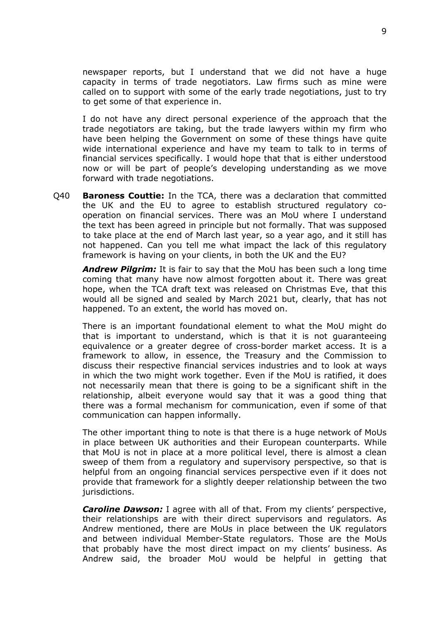newspaper reports, but I understand that we did not have a huge capacity in terms of trade negotiators. Law firms such as mine were called on to support with some of the early trade negotiations, just to try to get some of that experience in.

I do not have any direct personal experience of the approach that the trade negotiators are taking, but the trade lawyers within my firm who have been helping the Government on some of these things have quite wide international experience and have my team to talk to in terms of financial services specifically. I would hope that that is either understood now or will be part of people's developing understanding as we move forward with trade negotiations.

Q40 **Baroness Couttie:** In the TCA, there was a declaration that committed the UK and the EU to agree to establish structured regulatory cooperation on financial services. There was an MoU where I understand the text has been agreed in principle but not formally. That was supposed to take place at the end of March last year, so a year ago, and it still has not happened. Can you tell me what impact the lack of this regulatory framework is having on your clients, in both the UK and the EU?

*Andrew Pilgrim:* It is fair to say that the MoU has been such a long time coming that many have now almost forgotten about it. There was great hope, when the TCA draft text was released on Christmas Eve, that this would all be signed and sealed by March 2021 but, clearly, that has not happened. To an extent, the world has moved on.

There is an important foundational element to what the MoU might do that is important to understand, which is that it is not guaranteeing equivalence or a greater degree of cross-border market access. It is a framework to allow, in essence, the Treasury and the Commission to discuss their respective financial services industries and to look at ways in which the two might work together. Even if the MoU is ratified, it does not necessarily mean that there is going to be a significant shift in the relationship, albeit everyone would say that it was a good thing that there was a formal mechanism for communication, even if some of that communication can happen informally.

The other important thing to note is that there is a huge network of MoUs in place between UK authorities and their European counterparts. While that MoU is not in place at a more political level, there is almost a clean sweep of them from a regulatory and supervisory perspective, so that is helpful from an ongoing financial services perspective even if it does not provide that framework for a slightly deeper relationship between the two jurisdictions.

*Caroline Dawson:* I agree with all of that. From my clients' perspective, their relationships are with their direct supervisors and regulators. As Andrew mentioned, there are MoUs in place between the UK regulators and between individual Member-State regulators. Those are the MoUs that probably have the most direct impact on my clients' business. As Andrew said, the broader MoU would be helpful in getting that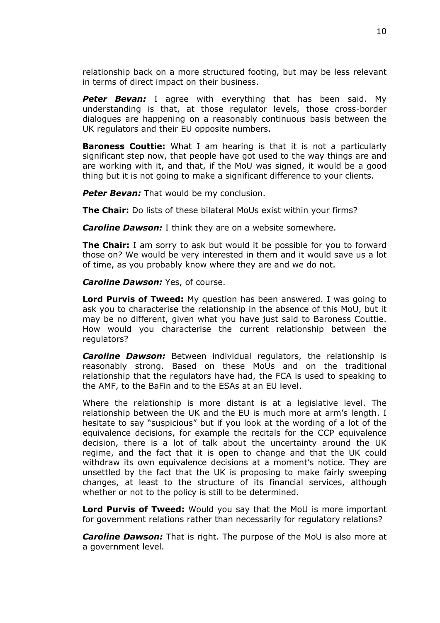relationship back on a more structured footing, but may be less relevant in terms of direct impact on their business.

*Peter Bevan:* I agree with everything that has been said. My understanding is that, at those regulator levels, those cross-border dialogues are happening on a reasonably continuous basis between the UK regulators and their EU opposite numbers.

**Baroness Couttie:** What I am hearing is that it is not a particularly significant step now, that people have got used to the way things are and are working with it, and that, if the MoU was signed, it would be a good thing but it is not going to make a significant difference to your clients.

**Peter Bevan:** That would be my conclusion.

**The Chair:** Do lists of these bilateral MoUs exist within your firms?

*Caroline Dawson:* I think they are on a website somewhere.

**The Chair:** I am sorry to ask but would it be possible for you to forward those on? We would be very interested in them and it would save us a lot of time, as you probably know where they are and we do not.

*Caroline Dawson: Yes, of course.* 

**Lord Purvis of Tweed:** My question has been answered. I was going to ask you to characterise the relationship in the absence of this MoU, but it may be no different, given what you have just said to Baroness Couttie. How would you characterise the current relationship between the regulators?

**Caroline Dawson:** Between individual regulators, the relationship is reasonably strong. Based on these MoUs and on the traditional relationship that the regulators have had, the FCA is used to speaking to the AMF, to the BaFin and to the ESAs at an EU level.

Where the relationship is more distant is at a legislative level. The relationship between the UK and the EU is much more at arm's length. I hesitate to say "suspicious" but if you look at the wording of a lot of the equivalence decisions, for example the recitals for the CCP equivalence decision, there is a lot of talk about the uncertainty around the UK regime, and the fact that it is open to change and that the UK could withdraw its own equivalence decisions at a moment's notice. They are unsettled by the fact that the UK is proposing to make fairly sweeping changes, at least to the structure of its financial services, although whether or not to the policy is still to be determined.

**Lord Purvis of Tweed:** Would you say that the MoU is more important for government relations rather than necessarily for regulatory relations?

*Caroline Dawson:* That is right. The purpose of the MoU is also more at a government level.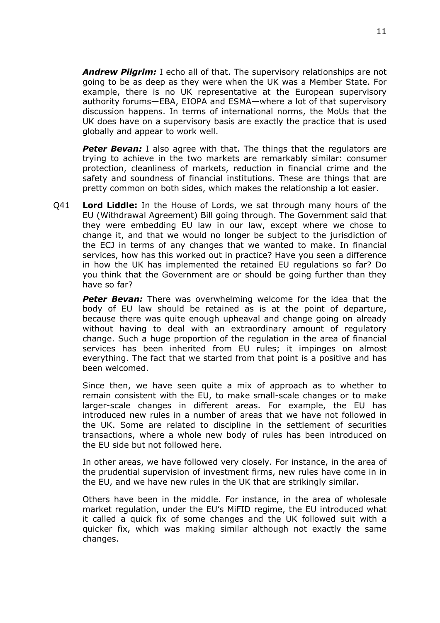*Andrew Pilgrim:* I echo all of that. The supervisory relationships are not going to be as deep as they were when the UK was a Member State. For example, there is no UK representative at the European supervisory authority forums—EBA, EIOPA and ESMA—where a lot of that supervisory discussion happens. In terms of international norms, the MoUs that the UK does have on a supervisory basis are exactly the practice that is used globally and appear to work well.

**Peter Bevan:** I also agree with that. The things that the regulators are trying to achieve in the two markets are remarkably similar: consumer protection, cleanliness of markets, reduction in financial crime and the safety and soundness of financial institutions. These are things that are pretty common on both sides, which makes the relationship a lot easier.

Q41 **Lord Liddle:** In the House of Lords, we sat through many hours of the EU (Withdrawal Agreement) Bill going through. The Government said that they were embedding EU law in our law, except where we chose to change it, and that we would no longer be subject to the jurisdiction of the ECJ in terms of any changes that we wanted to make. In financial services, how has this worked out in practice? Have you seen a difference in how the UK has implemented the retained EU regulations so far? Do you think that the Government are or should be going further than they have so far?

*Peter Bevan:* There was overwhelming welcome for the idea that the body of EU law should be retained as is at the point of departure, because there was quite enough upheaval and change going on already without having to deal with an extraordinary amount of regulatory change. Such a huge proportion of the regulation in the area of financial services has been inherited from EU rules; it impinges on almost everything. The fact that we started from that point is a positive and has been welcomed.

Since then, we have seen quite a mix of approach as to whether to remain consistent with the EU, to make small-scale changes or to make larger-scale changes in different areas. For example, the EU has introduced new rules in a number of areas that we have not followed in the UK. Some are related to discipline in the settlement of securities transactions, where a whole new body of rules has been introduced on the EU side but not followed here.

In other areas, we have followed very closely. For instance, in the area of the prudential supervision of investment firms, new rules have come in in the EU, and we have new rules in the UK that are strikingly similar.

Others have been in the middle. For instance, in the area of wholesale market regulation, under the EU's MiFID regime, the EU introduced what it called a quick fix of some changes and the UK followed suit with a quicker fix, which was making similar although not exactly the same changes.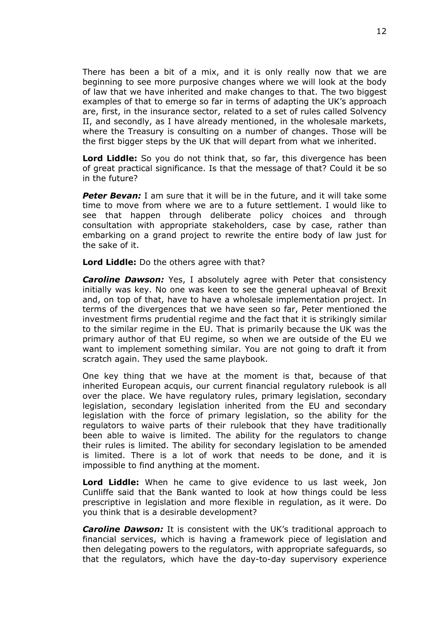There has been a bit of a mix, and it is only really now that we are beginning to see more purposive changes where we will look at the body of law that we have inherited and make changes to that. The two biggest examples of that to emerge so far in terms of adapting the UK's approach are, first, in the insurance sector, related to a set of rules called Solvency II, and secondly, as I have already mentioned, in the wholesale markets, where the Treasury is consulting on a number of changes. Those will be the first bigger steps by the UK that will depart from what we inherited.

**Lord Liddle:** So you do not think that, so far, this divergence has been of great practical significance. Is that the message of that? Could it be so in the future?

**Peter Bevan:** I am sure that it will be in the future, and it will take some time to move from where we are to a future settlement. I would like to see that happen through deliberate policy choices and through consultation with appropriate stakeholders, case by case, rather than embarking on a grand project to rewrite the entire body of law just for the sake of it.

**Lord Liddle:** Do the others agree with that?

*Caroline Dawson:* Yes, I absolutely agree with Peter that consistency initially was key. No one was keen to see the general upheaval of Brexit and, on top of that, have to have a wholesale implementation project. In terms of the divergences that we have seen so far, Peter mentioned the investment firms prudential regime and the fact that it is strikingly similar to the similar regime in the EU. That is primarily because the UK was the primary author of that EU regime, so when we are outside of the EU we want to implement something similar. You are not going to draft it from scratch again. They used the same playbook.

One key thing that we have at the moment is that, because of that inherited European acquis, our current financial regulatory rulebook is all over the place. We have regulatory rules, primary legislation, secondary legislation, secondary legislation inherited from the EU and secondary legislation with the force of primary legislation, so the ability for the regulators to waive parts of their rulebook that they have traditionally been able to waive is limited. The ability for the regulators to change their rules is limited. The ability for secondary legislation to be amended is limited. There is a lot of work that needs to be done, and it is impossible to find anything at the moment.

**Lord Liddle:** When he came to give evidence to us last week, Jon Cunliffe said that the Bank wanted to look at how things could be less prescriptive in legislation and more flexible in regulation, as it were. Do you think that is a desirable development?

*Caroline Dawson:* It is consistent with the UK's traditional approach to financial services, which is having a framework piece of legislation and then delegating powers to the regulators, with appropriate safeguards, so that the regulators, which have the day-to-day supervisory experience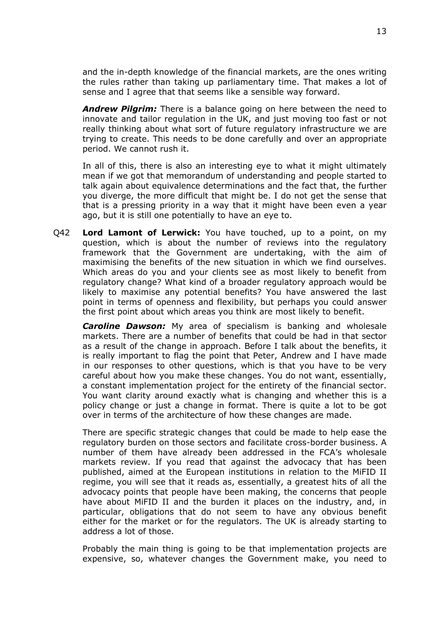and the in-depth knowledge of the financial markets, are the ones writing the rules rather than taking up parliamentary time. That makes a lot of sense and I agree that that seems like a sensible way forward.

*Andrew Pilgrim:* There is a balance going on here between the need to innovate and tailor regulation in the UK, and just moving too fast or not really thinking about what sort of future regulatory infrastructure we are trying to create. This needs to be done carefully and over an appropriate period. We cannot rush it.

In all of this, there is also an interesting eye to what it might ultimately mean if we got that memorandum of understanding and people started to talk again about equivalence determinations and the fact that, the further you diverge, the more difficult that might be. I do not get the sense that that is a pressing priority in a way that it might have been even a year ago, but it is still one potentially to have an eye to.

Q42 **Lord Lamont of Lerwick:** You have touched, up to a point, on my question, which is about the number of reviews into the regulatory framework that the Government are undertaking, with the aim of maximising the benefits of the new situation in which we find ourselves. Which areas do you and your clients see as most likely to benefit from regulatory change? What kind of a broader regulatory approach would be likely to maximise any potential benefits? You have answered the last point in terms of openness and flexibility, but perhaps you could answer the first point about which areas you think are most likely to benefit.

*Caroline Dawson:* My area of specialism is banking and wholesale markets. There are a number of benefits that could be had in that sector as a result of the change in approach. Before I talk about the benefits, it is really important to flag the point that Peter, Andrew and I have made in our responses to other questions, which is that you have to be very careful about how you make these changes. You do not want, essentially, a constant implementation project for the entirety of the financial sector. You want clarity around exactly what is changing and whether this is a policy change or just a change in format. There is quite a lot to be got over in terms of the architecture of how these changes are made.

There are specific strategic changes that could be made to help ease the regulatory burden on those sectors and facilitate cross-border business. A number of them have already been addressed in the FCA's wholesale markets review. If you read that against the advocacy that has been published, aimed at the European institutions in relation to the MiFID II regime, you will see that it reads as, essentially, a greatest hits of all the advocacy points that people have been making, the concerns that people have about MiFID II and the burden it places on the industry, and, in particular, obligations that do not seem to have any obvious benefit either for the market or for the regulators. The UK is already starting to address a lot of those.

Probably the main thing is going to be that implementation projects are expensive, so, whatever changes the Government make, you need to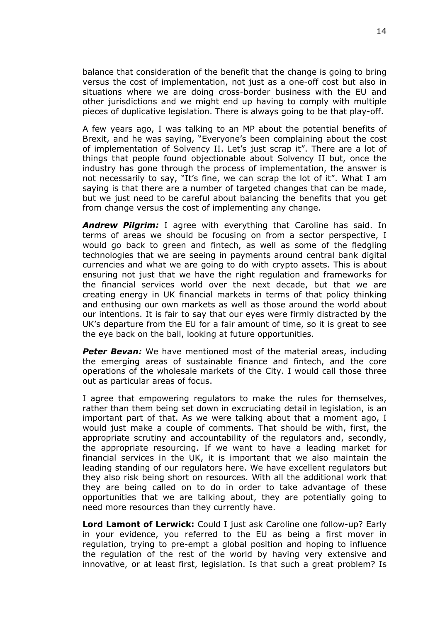balance that consideration of the benefit that the change is going to bring versus the cost of implementation, not just as a one-off cost but also in situations where we are doing cross-border business with the EU and other jurisdictions and we might end up having to comply with multiple pieces of duplicative legislation. There is always going to be that play-off.

A few years ago, I was talking to an MP about the potential benefits of Brexit, and he was saying, "Everyone's been complaining about the cost of implementation of Solvency II. Let's just scrap it". There are a lot of things that people found objectionable about Solvency II but, once the industry has gone through the process of implementation, the answer is not necessarily to say, "It's fine, we can scrap the lot of it". What I am saying is that there are a number of targeted changes that can be made, but we just need to be careful about balancing the benefits that you get from change versus the cost of implementing any change.

*Andrew Pilgrim:* I agree with everything that Caroline has said. In terms of areas we should be focusing on from a sector perspective, I would go back to green and fintech, as well as some of the fledgling technologies that we are seeing in payments around central bank digital currencies and what we are going to do with crypto assets. This is about ensuring not just that we have the right regulation and frameworks for the financial services world over the next decade, but that we are creating energy in UK financial markets in terms of that policy thinking and enthusing our own markets as well as those around the world about our intentions. It is fair to say that our eyes were firmly distracted by the UK's departure from the EU for a fair amount of time, so it is great to see the eye back on the ball, looking at future opportunities.

**Peter Bevan:** We have mentioned most of the material areas, including the emerging areas of sustainable finance and fintech, and the core operations of the wholesale markets of the City. I would call those three out as particular areas of focus.

I agree that empowering regulators to make the rules for themselves, rather than them being set down in excruciating detail in legislation, is an important part of that. As we were talking about that a moment ago, I would just make a couple of comments. That should be with, first, the appropriate scrutiny and accountability of the regulators and, secondly, the appropriate resourcing. If we want to have a leading market for financial services in the UK, it is important that we also maintain the leading standing of our regulators here. We have excellent regulators but they also risk being short on resources. With all the additional work that they are being called on to do in order to take advantage of these opportunities that we are talking about, they are potentially going to need more resources than they currently have.

**Lord Lamont of Lerwick:** Could I just ask Caroline one follow-up? Early in your evidence, you referred to the EU as being a first mover in regulation, trying to pre-empt a global position and hoping to influence the regulation of the rest of the world by having very extensive and innovative, or at least first, legislation. Is that such a great problem? Is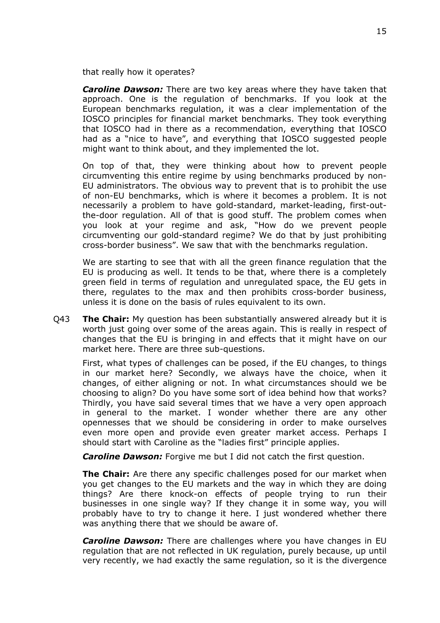that really how it operates?

*Caroline Dawson:* There are two key areas where they have taken that approach. One is the regulation of benchmarks. If you look at the European benchmarks regulation, it was a clear implementation of the IOSCO principles for financial market benchmarks. They took everything that IOSCO had in there as a recommendation, everything that IOSCO had as a "nice to have", and everything that IOSCO suggested people might want to think about, and they implemented the lot.

On top of that, they were thinking about how to prevent people circumventing this entire regime by using benchmarks produced by non-EU administrators. The obvious way to prevent that is to prohibit the use of non-EU benchmarks, which is where it becomes a problem. It is not necessarily a problem to have gold-standard, market-leading, first-outthe-door regulation. All of that is good stuff. The problem comes when you look at your regime and ask, "How do we prevent people circumventing our gold-standard regime? We do that by just prohibiting cross-border business". We saw that with the benchmarks regulation.

We are starting to see that with all the green finance regulation that the EU is producing as well. It tends to be that, where there is a completely green field in terms of regulation and unregulated space, the EU gets in there, regulates to the max and then prohibits cross-border business, unless it is done on the basis of rules equivalent to its own.

Q43 **The Chair:** My question has been substantially answered already but it is worth just going over some of the areas again. This is really in respect of changes that the EU is bringing in and effects that it might have on our market here. There are three sub-questions.

First, what types of challenges can be posed, if the EU changes, to things in our market here? Secondly, we always have the choice, when it changes, of either aligning or not. In what circumstances should we be choosing to align? Do you have some sort of idea behind how that works? Thirdly, you have said several times that we have a very open approach in general to the market. I wonder whether there are any other opennesses that we should be considering in order to make ourselves even more open and provide even greater market access. Perhaps I should start with Caroline as the "ladies first" principle applies.

*Caroline Dawson:* Forgive me but I did not catch the first question.

**The Chair:** Are there any specific challenges posed for our market when you get changes to the EU markets and the way in which they are doing things? Are there knock-on effects of people trying to run their businesses in one single way? If they change it in some way, you will probably have to try to change it here. I just wondered whether there was anything there that we should be aware of.

*Caroline Dawson:* There are challenges where you have changes in EU regulation that are not reflected in UK regulation, purely because, up until very recently, we had exactly the same regulation, so it is the divergence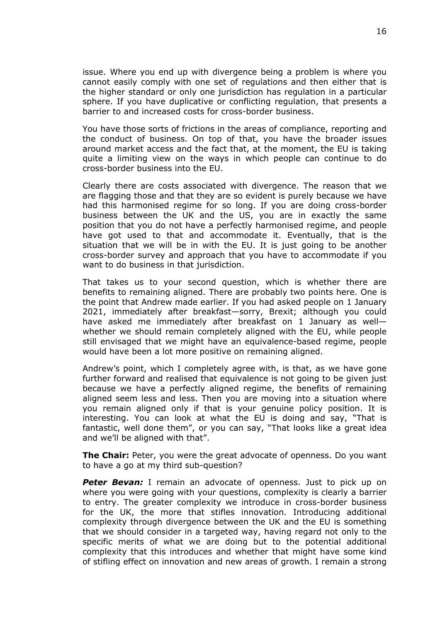issue. Where you end up with divergence being a problem is where you cannot easily comply with one set of regulations and then either that is the higher standard or only one jurisdiction has regulation in a particular sphere. If you have duplicative or conflicting regulation, that presents a barrier to and increased costs for cross-border business.

You have those sorts of frictions in the areas of compliance, reporting and the conduct of business. On top of that, you have the broader issues around market access and the fact that, at the moment, the EU is taking quite a limiting view on the ways in which people can continue to do cross-border business into the EU.

Clearly there are costs associated with divergence. The reason that we are flagging those and that they are so evident is purely because we have had this harmonised regime for so long. If you are doing cross-border business between the UK and the US, you are in exactly the same position that you do not have a perfectly harmonised regime, and people have got used to that and accommodate it. Eventually, that is the situation that we will be in with the EU. It is just going to be another cross-border survey and approach that you have to accommodate if you want to do business in that jurisdiction.

That takes us to your second question, which is whether there are benefits to remaining aligned. There are probably two points here. One is the point that Andrew made earlier. If you had asked people on 1 January 2021, immediately after breakfast—sorry, Brexit; although you could have asked me immediately after breakfast on 1 January as well whether we should remain completely aligned with the EU, while people still envisaged that we might have an equivalence-based regime, people would have been a lot more positive on remaining aligned.

Andrew's point, which I completely agree with, is that, as we have gone further forward and realised that equivalence is not going to be given just because we have a perfectly aligned regime, the benefits of remaining aligned seem less and less. Then you are moving into a situation where you remain aligned only if that is your genuine policy position. It is interesting. You can look at what the EU is doing and say, "That is fantastic, well done them", or you can say, "That looks like a great idea and we'll be aligned with that".

**The Chair:** Peter, you were the great advocate of openness. Do you want to have a go at my third sub-question?

**Peter Bevan:** I remain an advocate of openness. Just to pick up on where you were going with your questions, complexity is clearly a barrier to entry. The greater complexity we introduce in cross-border business for the UK, the more that stifles innovation. Introducing additional complexity through divergence between the UK and the EU is something that we should consider in a targeted way, having regard not only to the specific merits of what we are doing but to the potential additional complexity that this introduces and whether that might have some kind of stifling effect on innovation and new areas of growth. I remain a strong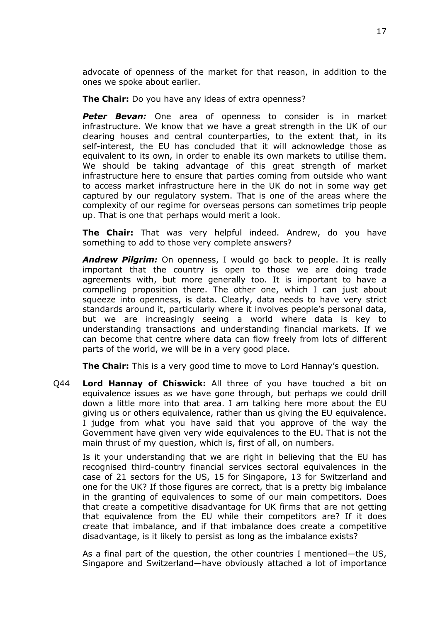advocate of openness of the market for that reason, in addition to the ones we spoke about earlier.

**The Chair:** Do you have any ideas of extra openness?

*Peter Bevan:* One area of openness to consider is in market infrastructure. We know that we have a great strength in the UK of our clearing houses and central counterparties, to the extent that, in its self-interest, the EU has concluded that it will acknowledge those as equivalent to its own, in order to enable its own markets to utilise them. We should be taking advantage of this great strength of market infrastructure here to ensure that parties coming from outside who want to access market infrastructure here in the UK do not in some way get captured by our regulatory system. That is one of the areas where the complexity of our regime for overseas persons can sometimes trip people up. That is one that perhaps would merit a look.

**The Chair:** That was very helpful indeed. Andrew, do you have something to add to those very complete answers?

*Andrew Pilgrim:* On openness, I would go back to people. It is really important that the country is open to those we are doing trade agreements with, but more generally too. It is important to have a compelling proposition there. The other one, which I can just about squeeze into openness, is data. Clearly, data needs to have very strict standards around it, particularly where it involves people's personal data, but we are increasingly seeing a world where data is key to understanding transactions and understanding financial markets. If we can become that centre where data can flow freely from lots of different parts of the world, we will be in a very good place.

**The Chair:** This is a very good time to move to Lord Hannay's question.

Q44 **Lord Hannay of Chiswick:** All three of you have touched a bit on equivalence issues as we have gone through, but perhaps we could drill down a little more into that area. I am talking here more about the EU giving us or others equivalence, rather than us giving the EU equivalence. I judge from what you have said that you approve of the way the Government have given very wide equivalences to the EU. That is not the main thrust of my question, which is, first of all, on numbers.

Is it your understanding that we are right in believing that the EU has recognised third-country financial services sectoral equivalences in the case of 21 sectors for the US, 15 for Singapore, 13 for Switzerland and one for the UK? If those figures are correct, that is a pretty big imbalance in the granting of equivalences to some of our main competitors. Does that create a competitive disadvantage for UK firms that are not getting that equivalence from the EU while their competitors are? If it does create that imbalance, and if that imbalance does create a competitive disadvantage, is it likely to persist as long as the imbalance exists?

As a final part of the question, the other countries I mentioned—the US, Singapore and Switzerland—have obviously attached a lot of importance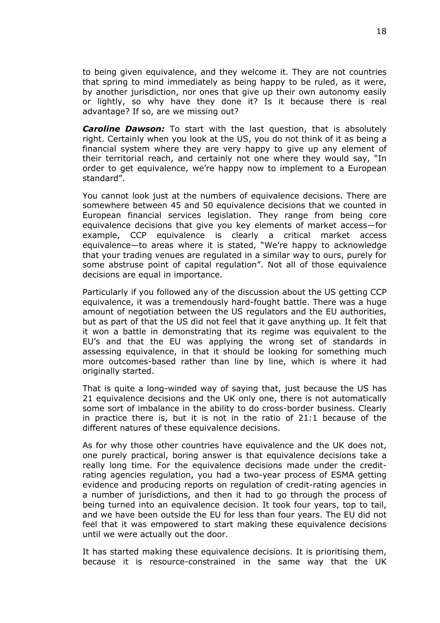to being given equivalence, and they welcome it. They are not countries that spring to mind immediately as being happy to be ruled, as it were, by another jurisdiction, nor ones that give up their own autonomy easily or lightly, so why have they done it? Is it because there is real advantage? If so, are we missing out?

*Caroline Dawson:* To start with the last question, that is absolutely right. Certainly when you look at the US, you do not think of it as being a financial system where they are very happy to give up any element of their territorial reach, and certainly not one where they would say, "In order to get equivalence, we're happy now to implement to a European standard".

You cannot look just at the numbers of equivalence decisions. There are somewhere between 45 and 50 equivalence decisions that we counted in European financial services legislation. They range from being core equivalence decisions that give you key elements of market access—for example, CCP equivalence is clearly a critical market access equivalence—to areas where it is stated, "We're happy to acknowledge that your trading venues are regulated in a similar way to ours, purely for some abstruse point of capital regulation". Not all of those equivalence decisions are equal in importance.

Particularly if you followed any of the discussion about the US getting CCP equivalence, it was a tremendously hard-fought battle. There was a huge amount of negotiation between the US regulators and the EU authorities, but as part of that the US did not feel that it gave anything up. It felt that it won a battle in demonstrating that its regime was equivalent to the EU's and that the EU was applying the wrong set of standards in assessing equivalence, in that it should be looking for something much more outcomes-based rather than line by line, which is where it had originally started.

That is quite a long-winded way of saying that, just because the US has 21 equivalence decisions and the UK only one, there is not automatically some sort of imbalance in the ability to do cross-border business. Clearly in practice there is, but it is not in the ratio of 21:1 because of the different natures of these equivalence decisions.

As for why those other countries have equivalence and the UK does not, one purely practical, boring answer is that equivalence decisions take a really long time. For the equivalence decisions made under the creditrating agencies regulation, you had a two-year process of ESMA getting evidence and producing reports on regulation of credit-rating agencies in a number of jurisdictions, and then it had to go through the process of being turned into an equivalence decision. It took four years, top to tail, and we have been outside the EU for less than four years. The EU did not feel that it was empowered to start making these equivalence decisions until we were actually out the door.

It has started making these equivalence decisions. It is prioritising them, because it is resource-constrained in the same way that the UK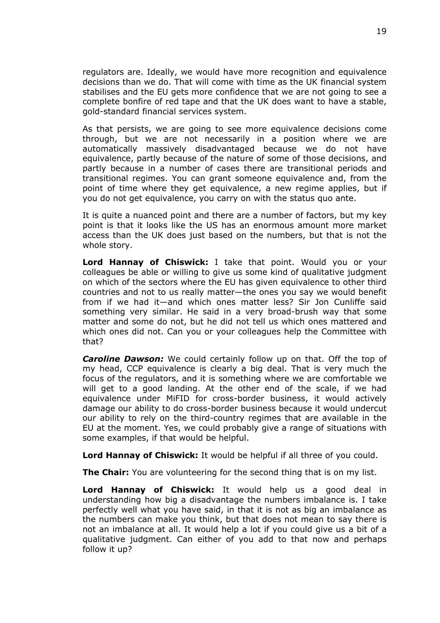regulators are. Ideally, we would have more recognition and equivalence decisions than we do. That will come with time as the UK financial system stabilises and the EU gets more confidence that we are not going to see a complete bonfire of red tape and that the UK does want to have a stable, gold-standard financial services system.

As that persists, we are going to see more equivalence decisions come through, but we are not necessarily in a position where we are automatically massively disadvantaged because we do not have equivalence, partly because of the nature of some of those decisions, and partly because in a number of cases there are transitional periods and transitional regimes. You can grant someone equivalence and, from the point of time where they get equivalence, a new regime applies, but if you do not get equivalence, you carry on with the status quo ante.

It is quite a nuanced point and there are a number of factors, but my key point is that it looks like the US has an enormous amount more market access than the UK does just based on the numbers, but that is not the whole story.

**Lord Hannay of Chiswick:** I take that point. Would you or your colleagues be able or willing to give us some kind of qualitative judgment on which of the sectors where the EU has given equivalence to other third countries and not to us really matter—the ones you say we would benefit from if we had it—and which ones matter less? Sir Jon Cunliffe said something very similar. He said in a very broad-brush way that some matter and some do not, but he did not tell us which ones mattered and which ones did not. Can you or your colleagues help the Committee with that?

*Caroline Dawson:* We could certainly follow up on that. Off the top of my head, CCP equivalence is clearly a big deal. That is very much the focus of the regulators, and it is something where we are comfortable we will get to a good landing. At the other end of the scale, if we had equivalence under MiFID for cross-border business, it would actively damage our ability to do cross-border business because it would undercut our ability to rely on the third-country regimes that are available in the EU at the moment. Yes, we could probably give a range of situations with some examples, if that would be helpful.

**Lord Hannay of Chiswick:** It would be helpful if all three of you could.

**The Chair:** You are volunteering for the second thing that is on my list.

**Lord Hannay of Chiswick:** It would help us a good deal in understanding how big a disadvantage the numbers imbalance is. I take perfectly well what you have said, in that it is not as big an imbalance as the numbers can make you think, but that does not mean to say there is not an imbalance at all. It would help a lot if you could give us a bit of a qualitative judgment. Can either of you add to that now and perhaps follow it up?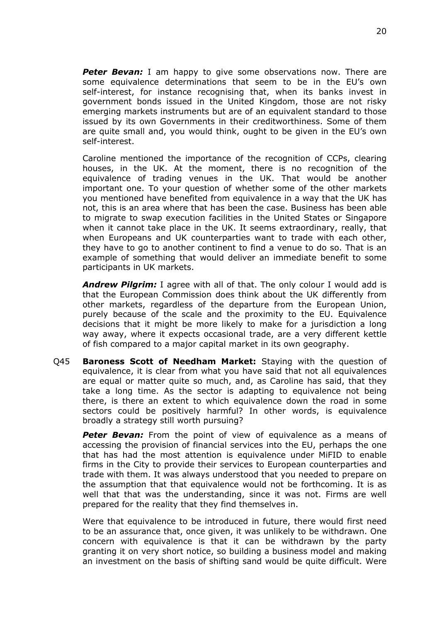**Peter Bevan:** I am happy to give some observations now. There are some equivalence determinations that seem to be in the EU's own self-interest, for instance recognising that, when its banks invest in government bonds issued in the United Kingdom, those are not risky emerging markets instruments but are of an equivalent standard to those issued by its own Governments in their creditworthiness. Some of them are quite small and, you would think, ought to be given in the EU's own self-interest.

Caroline mentioned the importance of the recognition of CCPs, clearing houses, in the UK. At the moment, there is no recognition of the equivalence of trading venues in the UK. That would be another important one. To your question of whether some of the other markets you mentioned have benefited from equivalence in a way that the UK has not, this is an area where that has been the case. Business has been able to migrate to swap execution facilities in the United States or Singapore when it cannot take place in the UK. It seems extraordinary, really, that when Europeans and UK counterparties want to trade with each other, they have to go to another continent to find a venue to do so. That is an example of something that would deliver an immediate benefit to some participants in UK markets.

*Andrew Pilgrim:* I agree with all of that. The only colour I would add is that the European Commission does think about the UK differently from other markets, regardless of the departure from the European Union, purely because of the scale and the proximity to the EU. Equivalence decisions that it might be more likely to make for a jurisdiction a long way away, where it expects occasional trade, are a very different kettle of fish compared to a major capital market in its own geography.

Q45 **Baroness Scott of Needham Market:** Staying with the question of equivalence, it is clear from what you have said that not all equivalences are equal or matter quite so much, and, as Caroline has said, that they take a long time. As the sector is adapting to equivalence not being there, is there an extent to which equivalence down the road in some sectors could be positively harmful? In other words, is equivalence broadly a strategy still worth pursuing?

**Peter Bevan:** From the point of view of equivalence as a means of accessing the provision of financial services into the EU, perhaps the one that has had the most attention is equivalence under MiFID to enable firms in the City to provide their services to European counterparties and trade with them. It was always understood that you needed to prepare on the assumption that that equivalence would not be forthcoming. It is as well that that was the understanding, since it was not. Firms are well prepared for the reality that they find themselves in.

Were that equivalence to be introduced in future, there would first need to be an assurance that, once given, it was unlikely to be withdrawn. One concern with equivalence is that it can be withdrawn by the party granting it on very short notice, so building a business model and making an investment on the basis of shifting sand would be quite difficult. Were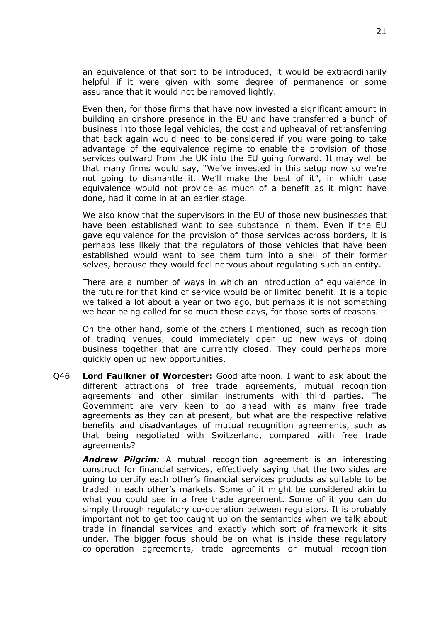an equivalence of that sort to be introduced, it would be extraordinarily helpful if it were given with some degree of permanence or some assurance that it would not be removed lightly.

Even then, for those firms that have now invested a significant amount in building an onshore presence in the EU and have transferred a bunch of business into those legal vehicles, the cost and upheaval of retransferring that back again would need to be considered if you were going to take advantage of the equivalence regime to enable the provision of those services outward from the UK into the EU going forward. It may well be that many firms would say, "We've invested in this setup now so we're not going to dismantle it. We'll make the best of it", in which case equivalence would not provide as much of a benefit as it might have done, had it come in at an earlier stage.

We also know that the supervisors in the EU of those new businesses that have been established want to see substance in them. Even if the EU gave equivalence for the provision of those services across borders, it is perhaps less likely that the regulators of those vehicles that have been established would want to see them turn into a shell of their former selves, because they would feel nervous about regulating such an entity.

There are a number of ways in which an introduction of equivalence in the future for that kind of service would be of limited benefit. It is a topic we talked a lot about a year or two ago, but perhaps it is not something we hear being called for so much these days, for those sorts of reasons.

On the other hand, some of the others I mentioned, such as recognition of trading venues, could immediately open up new ways of doing business together that are currently closed. They could perhaps more quickly open up new opportunities.

Q46 **Lord Faulkner of Worcester:** Good afternoon. I want to ask about the different attractions of free trade agreements, mutual recognition agreements and other similar instruments with third parties. The Government are very keen to go ahead with as many free trade agreements as they can at present, but what are the respective relative benefits and disadvantages of mutual recognition agreements, such as that being negotiated with Switzerland, compared with free trade agreements?

*Andrew Pilgrim:* A mutual recognition agreement is an interesting construct for financial services, effectively saying that the two sides are going to certify each other's financial services products as suitable to be traded in each other's markets. Some of it might be considered akin to what you could see in a free trade agreement. Some of it you can do simply through regulatory co-operation between regulators. It is probably important not to get too caught up on the semantics when we talk about trade in financial services and exactly which sort of framework it sits under. The bigger focus should be on what is inside these regulatory co-operation agreements, trade agreements or mutual recognition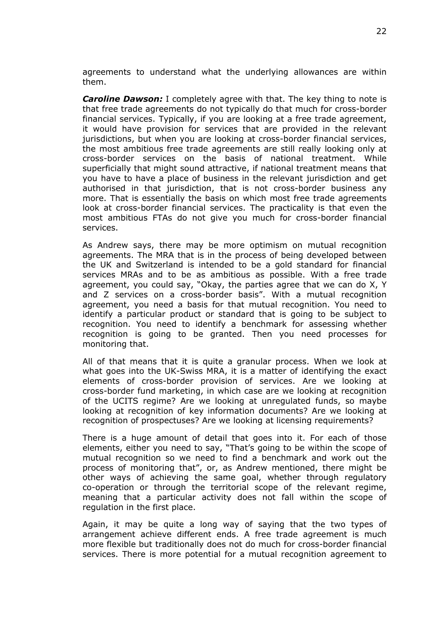agreements to understand what the underlying allowances are within them.

*Caroline Dawson:* I completely agree with that. The key thing to note is that free trade agreements do not typically do that much for cross-border financial services. Typically, if you are looking at a free trade agreement, it would have provision for services that are provided in the relevant jurisdictions, but when you are looking at cross-border financial services, the most ambitious free trade agreements are still really looking only at cross-border services on the basis of national treatment. While superficially that might sound attractive, if national treatment means that you have to have a place of business in the relevant jurisdiction and get authorised in that jurisdiction, that is not cross-border business any more. That is essentially the basis on which most free trade agreements look at cross-border financial services. The practicality is that even the most ambitious FTAs do not give you much for cross-border financial services.

As Andrew says, there may be more optimism on mutual recognition agreements. The MRA that is in the process of being developed between the UK and Switzerland is intended to be a gold standard for financial services MRAs and to be as ambitious as possible. With a free trade agreement, you could say, "Okay, the parties agree that we can do X, Y and Z services on a cross-border basis". With a mutual recognition agreement, you need a basis for that mutual recognition. You need to identify a particular product or standard that is going to be subject to recognition. You need to identify a benchmark for assessing whether recognition is going to be granted. Then you need processes for monitoring that.

All of that means that it is quite a granular process. When we look at what goes into the UK-Swiss MRA, it is a matter of identifying the exact elements of cross-border provision of services. Are we looking at cross-border fund marketing, in which case are we looking at recognition of the UCITS regime? Are we looking at unregulated funds, so maybe looking at recognition of key information documents? Are we looking at recognition of prospectuses? Are we looking at licensing requirements?

There is a huge amount of detail that goes into it. For each of those elements, either you need to say, "That's going to be within the scope of mutual recognition so we need to find a benchmark and work out the process of monitoring that", or, as Andrew mentioned, there might be other ways of achieving the same goal, whether through regulatory co-operation or through the territorial scope of the relevant regime, meaning that a particular activity does not fall within the scope of regulation in the first place.

Again, it may be quite a long way of saying that the two types of arrangement achieve different ends. A free trade agreement is much more flexible but traditionally does not do much for cross-border financial services. There is more potential for a mutual recognition agreement to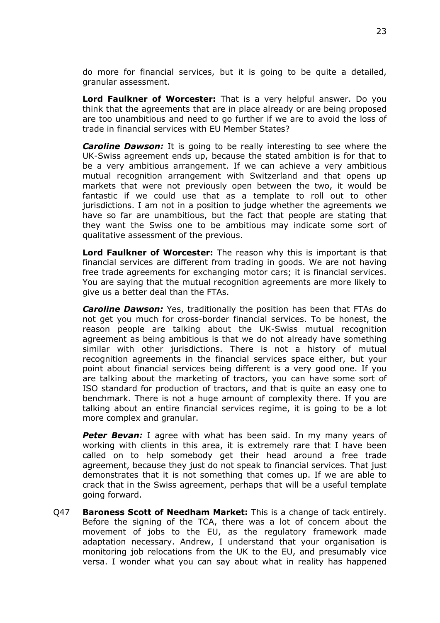do more for financial services, but it is going to be quite a detailed, granular assessment.

**Lord Faulkner of Worcester:** That is a very helpful answer. Do you think that the agreements that are in place already or are being proposed are too unambitious and need to go further if we are to avoid the loss of trade in financial services with EU Member States?

*Caroline Dawson:* It is going to be really interesting to see where the UK-Swiss agreement ends up, because the stated ambition is for that to be a very ambitious arrangement. If we can achieve a very ambitious mutual recognition arrangement with Switzerland and that opens up markets that were not previously open between the two, it would be fantastic if we could use that as a template to roll out to other jurisdictions. I am not in a position to judge whether the agreements we have so far are unambitious, but the fact that people are stating that they want the Swiss one to be ambitious may indicate some sort of qualitative assessment of the previous.

**Lord Faulkner of Worcester:** The reason why this is important is that financial services are different from trading in goods. We are not having free trade agreements for exchanging motor cars; it is financial services. You are saying that the mutual recognition agreements are more likely to give us a better deal than the FTAs.

*Caroline Dawson:* Yes, traditionally the position has been that FTAs do not get you much for cross-border financial services. To be honest, the reason people are talking about the UK-Swiss mutual recognition agreement as being ambitious is that we do not already have something similar with other jurisdictions. There is not a history of mutual recognition agreements in the financial services space either, but your point about financial services being different is a very good one. If you are talking about the marketing of tractors, you can have some sort of ISO standard for production of tractors, and that is quite an easy one to benchmark. There is not a huge amount of complexity there. If you are talking about an entire financial services regime, it is going to be a lot more complex and granular.

**Peter Bevan:** I agree with what has been said. In my many years of working with clients in this area, it is extremely rare that I have been called on to help somebody get their head around a free trade agreement, because they just do not speak to financial services. That just demonstrates that it is not something that comes up. If we are able to crack that in the Swiss agreement, perhaps that will be a useful template going forward.

Q47 **Baroness Scott of Needham Market:** This is a change of tack entirely. Before the signing of the TCA, there was a lot of concern about the movement of jobs to the EU, as the regulatory framework made adaptation necessary. Andrew, I understand that your organisation is monitoring job relocations from the UK to the EU, and presumably vice versa. I wonder what you can say about what in reality has happened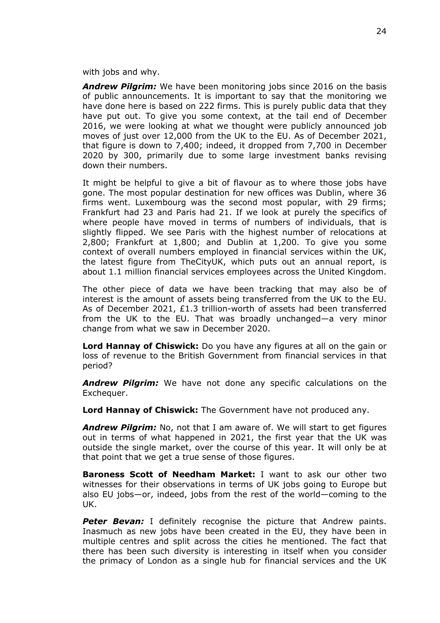with jobs and why.

*Andrew Pilgrim:* We have been monitoring jobs since 2016 on the basis of public announcements. It is important to say that the monitoring we have done here is based on 222 firms. This is purely public data that they have put out. To give you some context, at the tail end of December 2016, we were looking at what we thought were publicly announced job moves of just over 12,000 from the UK to the EU. As of December 2021, that figure is down to 7,400; indeed, it dropped from 7,700 in December 2020 by 300, primarily due to some large investment banks revising down their numbers.

It might be helpful to give a bit of flavour as to where those jobs have gone. The most popular destination for new offices was Dublin, where 36 firms went. Luxembourg was the second most popular, with 29 firms; Frankfurt had 23 and Paris had 21. If we look at purely the specifics of where people have moved in terms of numbers of individuals, that is slightly flipped. We see Paris with the highest number of relocations at 2,800; Frankfurt at 1,800; and Dublin at 1,200. To give you some context of overall numbers employed in financial services within the UK, the latest figure from TheCityUK, which puts out an annual report, is about 1.1 million financial services employees across the United Kingdom.

The other piece of data we have been tracking that may also be of interest is the amount of assets being transferred from the UK to the EU. As of December 2021, £1.3 trillion-worth of assets had been transferred from the UK to the EU. That was broadly unchanged—a very minor change from what we saw in December 2020.

**Lord Hannay of Chiswick:** Do you have any figures at all on the gain or loss of revenue to the British Government from financial services in that period?

*Andrew Pilgrim:* We have not done any specific calculations on the Exchequer.

**Lord Hannay of Chiswick:** The Government have not produced any.

*Andrew Pilgrim:* No, not that I am aware of. We will start to get figures out in terms of what happened in 2021, the first year that the UK was outside the single market, over the course of this year. It will only be at that point that we get a true sense of those figures.

**Baroness Scott of Needham Market:** I want to ask our other two witnesses for their observations in terms of UK jobs going to Europe but also EU jobs—or, indeed, jobs from the rest of the world—coming to the UK.

**Peter Bevan:** I definitely recognise the picture that Andrew paints. Inasmuch as new jobs have been created in the EU, they have been in multiple centres and split across the cities he mentioned. The fact that there has been such diversity is interesting in itself when you consider the primacy of London as a single hub for financial services and the UK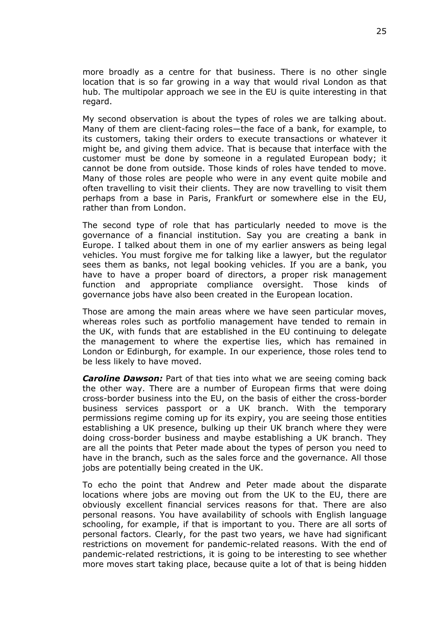more broadly as a centre for that business. There is no other single location that is so far growing in a way that would rival London as that hub. The multipolar approach we see in the EU is quite interesting in that regard.

My second observation is about the types of roles we are talking about. Many of them are client-facing roles—the face of a bank, for example, to its customers, taking their orders to execute transactions or whatever it might be, and giving them advice. That is because that interface with the customer must be done by someone in a regulated European body; it cannot be done from outside. Those kinds of roles have tended to move. Many of those roles are people who were in any event quite mobile and often travelling to visit their clients. They are now travelling to visit them perhaps from a base in Paris, Frankfurt or somewhere else in the EU, rather than from London.

The second type of role that has particularly needed to move is the governance of a financial institution. Say you are creating a bank in Europe. I talked about them in one of my earlier answers as being legal vehicles. You must forgive me for talking like a lawyer, but the regulator sees them as banks, not legal booking vehicles. If you are a bank, you have to have a proper board of directors, a proper risk management function and appropriate compliance oversight. Those kinds of governance jobs have also been created in the European location.

Those are among the main areas where we have seen particular moves, whereas roles such as portfolio management have tended to remain in the UK, with funds that are established in the EU continuing to delegate the management to where the expertise lies, which has remained in London or Edinburgh, for example. In our experience, those roles tend to be less likely to have moved.

*Caroline Dawson:* Part of that ties into what we are seeing coming back the other way. There are a number of European firms that were doing cross-border business into the EU, on the basis of either the cross-border business services passport or a UK branch. With the temporary permissions regime coming up for its expiry, you are seeing those entities establishing a UK presence, bulking up their UK branch where they were doing cross-border business and maybe establishing a UK branch. They are all the points that Peter made about the types of person you need to have in the branch, such as the sales force and the governance. All those jobs are potentially being created in the UK.

To echo the point that Andrew and Peter made about the disparate locations where jobs are moving out from the UK to the EU, there are obviously excellent financial services reasons for that. There are also personal reasons. You have availability of schools with English language schooling, for example, if that is important to you. There are all sorts of personal factors. Clearly, for the past two years, we have had significant restrictions on movement for pandemic-related reasons. With the end of pandemic-related restrictions, it is going to be interesting to see whether more moves start taking place, because quite a lot of that is being hidden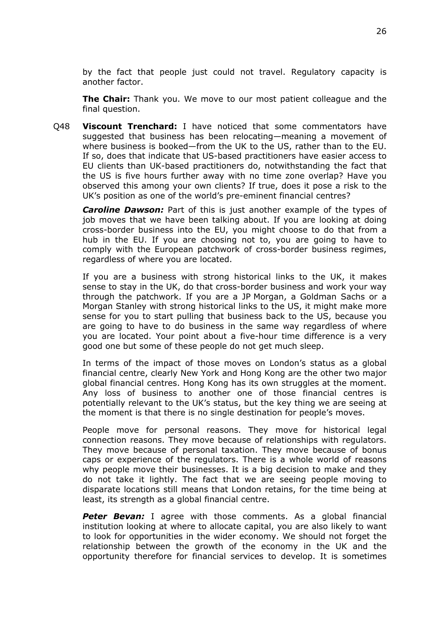by the fact that people just could not travel. Regulatory capacity is another factor.

**The Chair:** Thank you. We move to our most patient colleague and the final question.

Q48 **Viscount Trenchard:** I have noticed that some commentators have suggested that business has been relocating—meaning a movement of where business is booked—from the UK to the US, rather than to the EU. If so, does that indicate that US-based practitioners have easier access to EU clients than UK-based practitioners do, notwithstanding the fact that the US is five hours further away with no time zone overlap? Have you observed this among your own clients? If true, does it pose a risk to the UK's position as one of the world's pre-eminent financial centres?

*Caroline Dawson:* Part of this is just another example of the types of job moves that we have been talking about. If you are looking at doing cross-border business into the EU, you might choose to do that from a hub in the EU. If you are choosing not to, you are going to have to comply with the European patchwork of cross-border business regimes, regardless of where you are located.

If you are a business with strong historical links to the UK, it makes sense to stay in the UK, do that cross-border business and work your way through the patchwork. If you are a JP Morgan, a Goldman Sachs or a Morgan Stanley with strong historical links to the US, it might make more sense for you to start pulling that business back to the US, because you are going to have to do business in the same way regardless of where you are located. Your point about a five-hour time difference is a very good one but some of these people do not get much sleep.

In terms of the impact of those moves on London's status as a global financial centre, clearly New York and Hong Kong are the other two major global financial centres. Hong Kong has its own struggles at the moment. Any loss of business to another one of those financial centres is potentially relevant to the UK's status, but the key thing we are seeing at the moment is that there is no single destination for people's moves.

People move for personal reasons. They move for historical legal connection reasons. They move because of relationships with regulators. They move because of personal taxation. They move because of bonus caps or experience of the regulators. There is a whole world of reasons why people move their businesses. It is a big decision to make and they do not take it lightly. The fact that we are seeing people moving to disparate locations still means that London retains, for the time being at least, its strength as a global financial centre.

*Peter Bevan:* I agree with those comments. As a global financial institution looking at where to allocate capital, you are also likely to want to look for opportunities in the wider economy. We should not forget the relationship between the growth of the economy in the UK and the opportunity therefore for financial services to develop. It is sometimes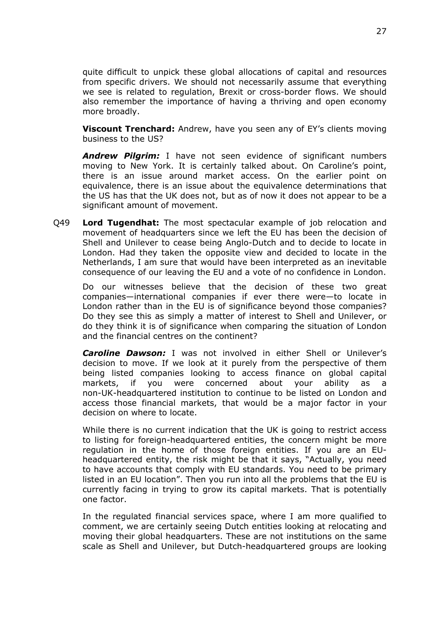quite difficult to unpick these global allocations of capital and resources from specific drivers. We should not necessarily assume that everything we see is related to regulation, Brexit or cross-border flows. We should also remember the importance of having a thriving and open economy more broadly.

**Viscount Trenchard:** Andrew, have you seen any of EY's clients moving business to the US?

*Andrew Pilgrim:* I have not seen evidence of significant numbers moving to New York. It is certainly talked about. On Caroline's point, there is an issue around market access. On the earlier point on equivalence, there is an issue about the equivalence determinations that the US has that the UK does not, but as of now it does not appear to be a significant amount of movement.

Q49 **Lord Tugendhat:** The most spectacular example of job relocation and movement of headquarters since we left the EU has been the decision of Shell and Unilever to cease being Anglo-Dutch and to decide to locate in London. Had they taken the opposite view and decided to locate in the Netherlands, I am sure that would have been interpreted as an inevitable consequence of our leaving the EU and a vote of no confidence in London.

Do our witnesses believe that the decision of these two great companies—international companies if ever there were—to locate in London rather than in the EU is of significance beyond those companies? Do they see this as simply a matter of interest to Shell and Unilever, or do they think it is of significance when comparing the situation of London and the financial centres on the continent?

*Caroline Dawson:* I was not involved in either Shell or Unilever's decision to move. If we look at it purely from the perspective of them being listed companies looking to access finance on global capital markets, if you were concerned about your ability as a non-UK-headquartered institution to continue to be listed on London and access those financial markets, that would be a major factor in your decision on where to locate.

While there is no current indication that the UK is going to restrict access to listing for foreign-headquartered entities, the concern might be more regulation in the home of those foreign entities. If you are an EUheadquartered entity, the risk might be that it says, "Actually, you need to have accounts that comply with EU standards. You need to be primary listed in an EU location". Then you run into all the problems that the EU is currently facing in trying to grow its capital markets. That is potentially one factor.

In the regulated financial services space, where I am more qualified to comment, we are certainly seeing Dutch entities looking at relocating and moving their global headquarters. These are not institutions on the same scale as Shell and Unilever, but Dutch-headquartered groups are looking